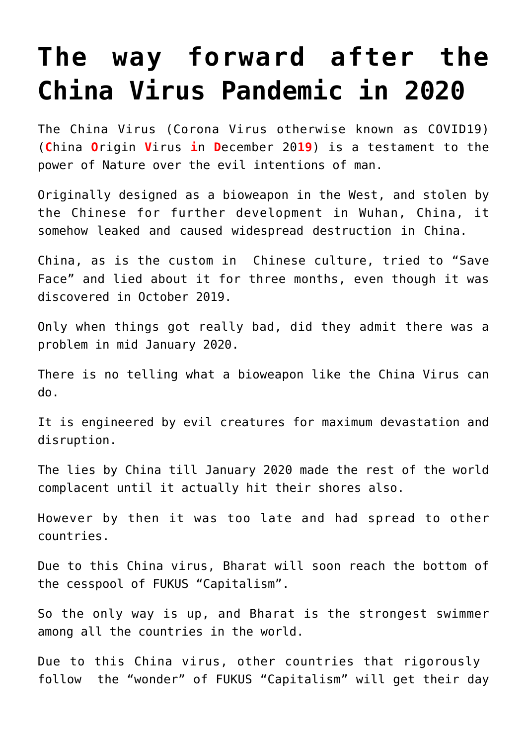## **[The way forward after the](https://aryadharma.world/articles/the-way-forward-after-the-china-virus-pandemic/) [China Virus Pandemic in 2020](https://aryadharma.world/articles/the-way-forward-after-the-china-virus-pandemic/)**

The China Virus ([Corona Virus otherwise known as COVID19\)](https://en.wikipedia.org/wiki/Coronavirus_disease_2019) (**C**hina **O**rigin **V**irus **i**n **D**ecember 20**19**) is a testament to the power of [Nature](https://aryadharma.world/articles/nature/) over the evil intentions of man.

Originally designed as a [bioweapon in the West, and stolen by](https://greatgameindia.com/coronavirus-bioweapon/) [the Chinese](https://greatgameindia.com/coronavirus-bioweapon/) for [further development in Wuhan](https://en.wikipedia.org/wiki/Wuhan_Institute_of_Virology), China, it somehow leaked and caused widespread destruction in China.

China, as is the custom in Chinese culture, tried to "[Save](https://en.wikipedia.org/wiki/Face_(sociological_concept)#Chinese_%E8%87%89%E9%9D%A2_and_%E9%9D%A2%E5%AD%90) [Face](https://en.wikipedia.org/wiki/Face_(sociological_concept)#Chinese_%E8%87%89%E9%9D%A2_and_%E9%9D%A2%E5%AD%90)" and lied about it for three months, even though it was discovered in October 2019.

Only when things got really bad, did they admit there was a problem in mid January 2020.

There is no telling what a bioweapon like the China Virus can do.

It is engineered by evil creatures for maximum devastation and disruption.

The lies by China till January 2020 made the rest of the world complacent until it actually hit their shores also.

However by then it was too late and had spread to other countries.

Due to this China virus, [Bharat](https://aryadharma.world/bharat/) will soon reach the bottom of the cesspool of [FUKUS "Capitalism".](https://aryadharma.world/fukus/fukus-capitalism/)

So the only way is up, and [Bharat](https://aryadharma.world/bharat/) is the strongest swimmer among all the countries in the world.

Due to this China virus, other countries that rigorously follow [the "wonder" of FUKUS "Capitalism"](https://aryadharma.world/fukus/fukus-capitalism/) will get their day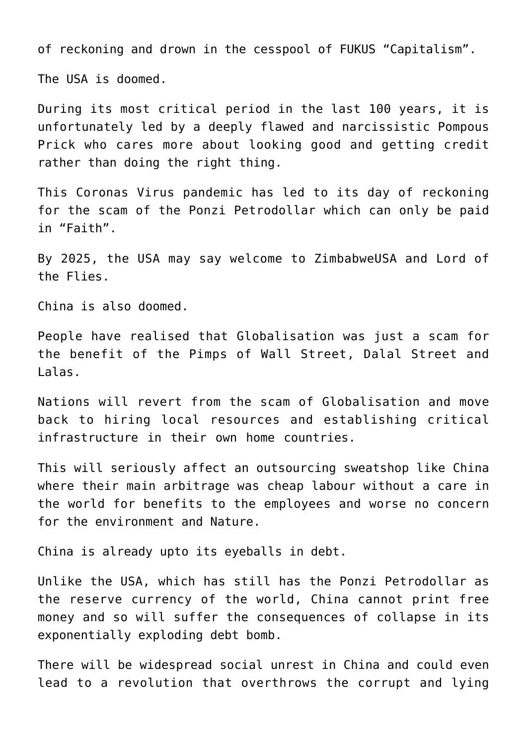of reckoning and drown in the cesspool of [FUKUS "Capitalism"](https://aryadharma.world/fukus/fukus-capitalism/).

The USA is doomed.

During its most critical period in the last 100 years, it is unfortunately led by a deeply flawed and narcissistic [Pompous](https://aryadharma.world/fukus/the-pompous-prick/) [Prick](https://aryadharma.world/fukus/the-pompous-prick/) who cares more about looking good and getting credit rather than doing the right thing.

This Coronas Virus pandemic has led to its day of reckoning for the scam of the [Ponzi Petrodollar which can only be paid](https://aryadharma.world/fukus/ponzipetrodollar/) [in "Faith".](https://aryadharma.world/fukus/ponzipetrodollar/)

By 2025, the USA may say welcome to [ZimbabweUSA](http://www.informationclearinghouse.info/55052.htm) and [Lord of](https://aryadharma.world/articles/lordoftheflies/) [the Flies.](https://aryadharma.world/articles/lordoftheflies/)

China is also doomed.

People have realised that [Globalisation](https://aryadharma.world/fukus/globalisation/) was just a scam for the benefit of the [Pimps of Wall Street, Dalal Street and](https://aryadharma.world/fukus/wallstreetpimps/) [Lalas](https://aryadharma.world/fukus/wallstreetpimps/).

Nations will revert from the scam of [Globalisation](https://aryadharma.world/fukus/globalisation/) and move back to hiring local resources and establishing critical infrastructure in their own home countries.

This will seriously affect an outsourcing sweatshop like China where their main arbitrage was cheap labour without a care in the world for benefits to the employees and worse no concern for the environment and [Nature](https://aryadharma.world/articles/nature/).

China is already upto its eyeballs in debt.

Unlike the USA, which has still has the [Ponzi Petrodollar](https://aryadharma.world/fukus/ponzipetrodollar/) as the reserve currency of the world, China cannot print free money and so will suffer the consequences of collapse in its exponentially exploding debt bomb.

There will be widespread social unrest in China and could even lead to a revolution that overthrows the corrupt and lying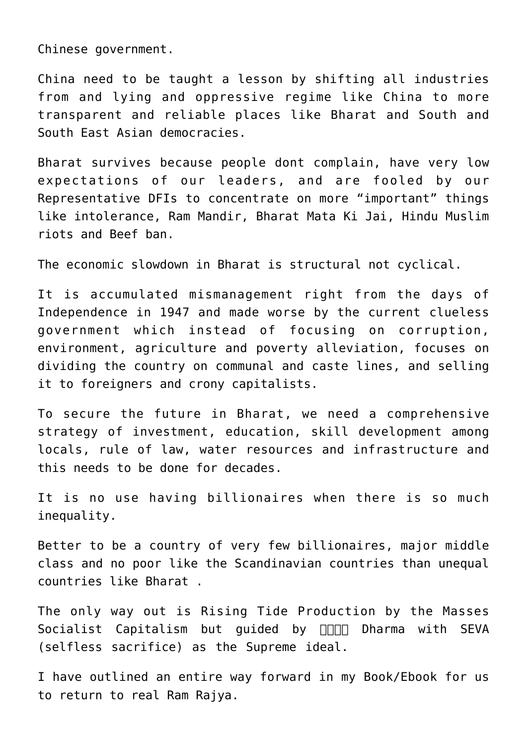Chinese government.

China need to be taught a lesson by shifting all industries from and lying and oppressive regime like China to more transparent and reliable places like [Bharat](https://aryadharma.world/bharat/) and South and South East Asian democracies.

[Bharat](https://aryadharma.world/bharat/) survives because people dont complain, have very low expectations of our leaders, and are fooled by our [Representative DFIs](https://aryadharma.world/fukus/repsofpeople/) to concentrate on more "important" things like intolerance, Ram Mandir, Bharat Mata Ki Jai, Hindu Muslim riots and Beef ban.

The economic slowdown in [Bharat](https://aryadharma.world/bharat/) is structural not cyclical.

It is accumulated mismanagement right from the days of Independence in 1947 and made worse by the current clueless government which instead of focusing on corruption, environment, agriculture and poverty alleviation, focuses on dividing the country on communal and caste lines, and selling it to foreigners and crony capitalists.

To secure the future in [Bharat](https://aryadharma.world/bharat/), we need a comprehensive strategy of investment, education, skill development among locals, rule of law, water resources and infrastructure and this needs to be done for decades.

It is no use having billionaires when there is so much inequality.

Better to be a country of very few billionaires, major middle class and no poor like the Scandinavian countries than unequal countries like [Bharat](https://aryadharma.world/bharat/) .

The only way out is [Rising Tide Production by the Masses](https://aryadharma.world/concepts/thestate/rising-tide-production-by-the-masses-socialist-capitalism/) [Socialist Capitalism](https://aryadharma.world/concepts/thestate/rising-tide-production-by-the-masses-socialist-capitalism/) but guided by  $\Box\Box\Box$  Dharma with SEVA (selfless sacrifice) as the Supreme ideal.

I have outlined an entire way forward in my [Book/Ebook](https://aryadharma.world/index/buy-book-ebook/) for us to return to real [Ram Rajya.](https://aryadharma.world/vedasandupanishads/ram-rajya-the-heavenly-rule-of-ram/)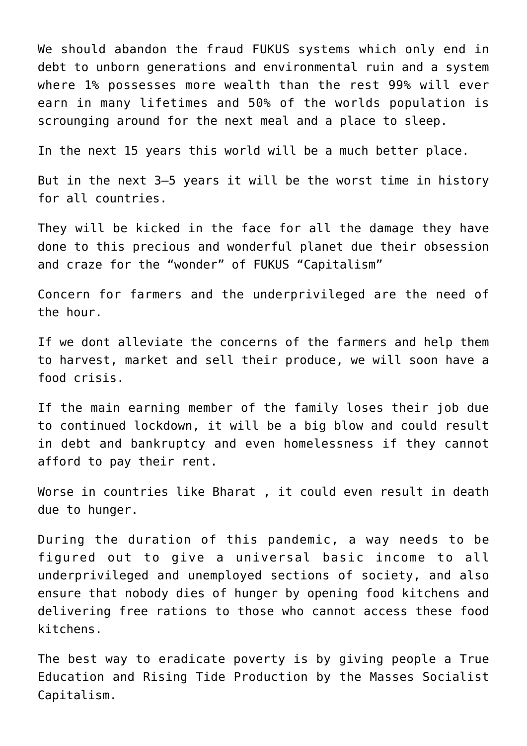We should abandon the fraud [FUKUS](https://aryadharma.world/fukus/) systems which only end in debt to unborn generations and environmental ruin and a system where 1% possesses more wealth than the rest 99% will ever earn in many lifetimes and 50% of the worlds population is scrounging around for the next meal and a place to sleep.

In the next 15 years this world will be a much better place.

But in the next 3–5 years it will be the worst time in history for all countries.

They will be kicked in the face for all the damage they have done to this precious and wonderful planet due their obsession and craze for [the "wonder" of FUKUS "Capitalism"](https://aryadharma.world/fukus/fukus-capitalism/)

Concern for farmers and the underprivileged are the need of the hour.

If we dont alleviate the concerns of the farmers and help them to harvest, market and sell their produce, we will soon have a food crisis.

If the main earning member of the family loses their job due to continued lockdown, it will be a big blow and could result in debt and bankruptcy and even homelessness if they cannot afford to pay their rent.

Worse in countries like [Bharat](https://aryadharma.world/bharat/) , it could even result in death due to hunger.

During the duration of this pandemic, a way needs to be figured out to give a [universal basic income](https://en.wikipedia.org/wiki/Basic_income) to all underprivileged and unemployed sections of society, and also ensure that nobody dies of hunger by opening food kitchens and delivering free rations to those who cannot access these food kitchens.

The best way to eradicate poverty is by giving people a [True](https://aryadharma.world/articles/children/education/) [Education](https://aryadharma.world/articles/children/education/) and [Rising Tide Production by the Masses Socialist](https://aryadharma.world/concepts/thestate/rising-tide-production-by-the-masses-socialist-capitalism/) [Capitalism.](https://aryadharma.world/concepts/thestate/rising-tide-production-by-the-masses-socialist-capitalism/)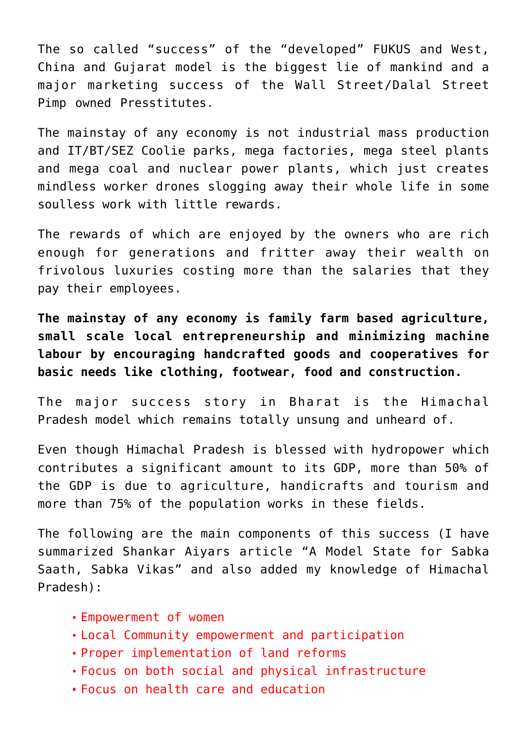The so called "success" of the "developed" [FUKUS](http://aryadharma.world/fukus/) and West, China and Gujarat model is the biggest lie of mankind and a major marketing success of the [Wall Street/Dalal Street](http://aryadharma.world/fukus/wallstreetpimps/) [Pimp](http://aryadharma.world/fukus/wallstreetpimps/) owned [Presstitutes](http://en.wiktionary.org/wiki/presstitute).

The mainstay of any economy is not industrial mass production and IT/BT/SEZ Coolie parks, mega factories, mega steel plants and mega coal and nuclear power plants, which just creates mindless worker drones slogging away their whole life in some soulless work with little rewards.

The rewards of which are enjoyed by the owners who are rich enough for generations and fritter away their wealth on frivolous luxuries costing more than the salaries that they pay their employees.

**The mainstay of any economy is family farm based agriculture, small scale local entrepreneurship and minimizing machine labour by encouraging handcrafted goods and cooperatives for basic needs like clothing, footwear, food and construction.**

[The major success story](http://www.newindianexpress.com/columns/shankkar_aiyar/A-Model-State-for-Sabka-Saath-Sabka-Vikas/2015/04/05/article2747716.ece) in [Bharat](http://aryadharma.world/bharat/) is the [Himachal](http://en.wikipedia.org/wiki/Himachal_Pradesh) [Pradesh](http://en.wikipedia.org/wiki/Himachal_Pradesh) model which remains totally unsung and unheard of.

Even though [Himachal Pradesh](http://en.wikipedia.org/wiki/Himachal_Pradesh) is blessed with [hydropower](http://en.wikipedia.org/wiki/Hydro_electric) which contributes a significant amount to its GDP, more than 50% of the GDP is due to agriculture, handicrafts and tourism and more than 75% of the population works in these fields.

The following are the main components of this success (I have summarized [Shankar Aiyars article](http://www.newindianexpress.com/columns/shankkar_aiyar/A-Model-State-for-Sabka-Saath-Sabka-Vikas/2015/04/05/article2747716.ece) "A Model State for Sabka Saath, Sabka Vikas" and also added my knowledge of [Himachal](http://en.wikipedia.org/wiki/Himachal_Pradesh) [Pradesh](http://en.wikipedia.org/wiki/Himachal_Pradesh)):

- Empowerment of women
- Local Community empowerment and participation
- Proper implementation of land reforms
- Focus on both social and physical infrastructure
- Focus on health care and education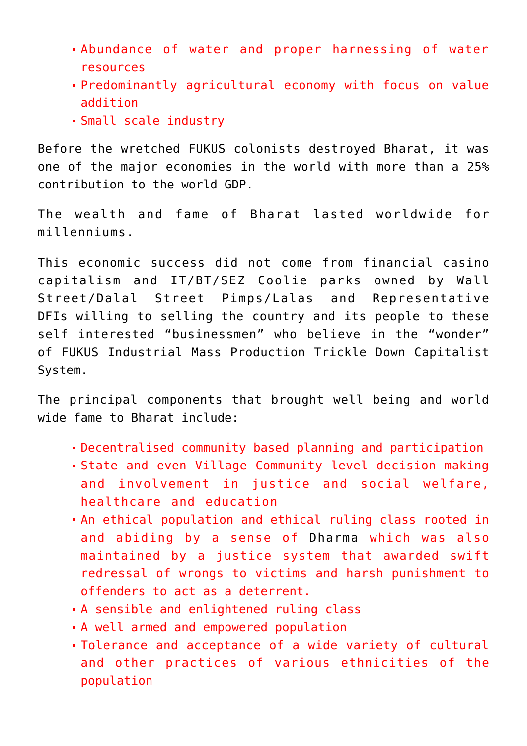- Abundance of water and proper harnessing of water resources
- Predominantly agricultural economy with focus on value addition
- Small scale industry

Before the wretched [FUKUS](http://aryadharma.world/fukus/) colonists destroyed [Bharat](http://aryadharma.world/bharat/), it was one of the major economies in the world with more than a 25% contribution to the world GDP.

The wealth and fame of [Bharat](http://aryadharma.world/bharat/) lasted worldwide for millenniums.

This economic success did not come from financial [casino](https://en.wikipedia.org/wiki/Susan_Strange) [capitalism](https://en.wikipedia.org/wiki/Susan_Strange) and IT/BT/SEZ Coolie parks owned by [Wall](http://aryadharma.world/fukus/wallstreetpimps/) [Street/Dalal Street Pimps/Lalas](http://aryadharma.world/fukus/wallstreetpimps/) and [Representative](http://aryadharma.world/fukus/repsofpeople/) [DFIs](http://aryadharma.world/fukus/repsofpeople/) willing to selling the country and its people to these self interested "businessmen" who believe in the "wonder" of [FUKUS](http://aryadharma.world/fukus/) [Industrial Mass Production Trickle Down Capitalist](http://aryadharma.world/fukus/fukus-capitalism) [System](http://aryadharma.world/fukus/fukus-capitalism).

The principal components that brought well being and world wide fame to [Bharat](http://aryadharma.world/bharat/) include:

- Decentralised community based planning and participation
- State and even Village Community level decision making and involvement in justice and social welfare, healthcare and education
- An ethical population and ethical ruling class rooted in and abiding by a sense of [Dharma](http://aryadharma.world/concepts/brahman/dharma/) which was also maintained by a justice system that awarded swift redressal of wrongs to victims and harsh punishment to offenders to act as a deterrent.
- A sensible and enlightened ruling class
- A well armed and empowered population
- Tolerance and acceptance of a wide variety of cultural and other practices of various ethnicities of the population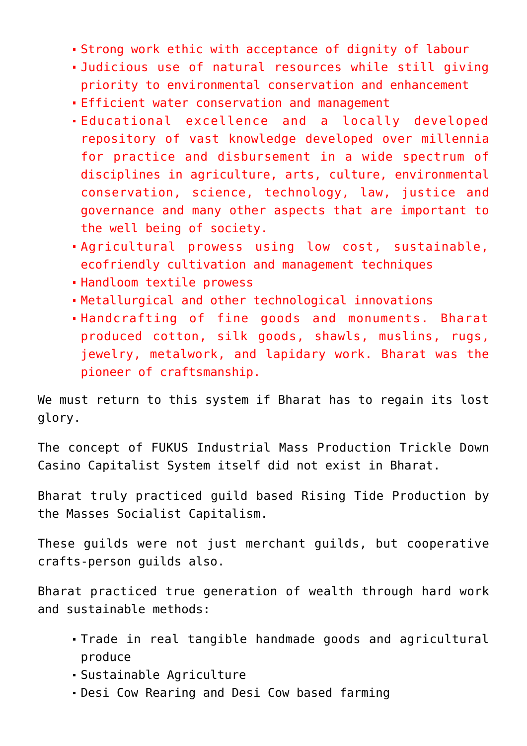- Strong work ethic with acceptance of dignity of labour
- Judicious use of natural resources while still giving priority to environmental conservation and enhancement
- Efficient water conservation and management
- Educational excellence and a locally developed repository of vast knowledge developed over millennia for practice and disbursement in a wide spectrum of disciplines in agriculture, arts, culture, environmental conservation, science, technology, law, justice and governance and many other aspects that are important to the well being of society.
- Agricultural prowess using low cost, sustainable, ecofriendly cultivation and management techniques
- Handloom textile prowess
- Metallurgical and other technological innovations
- Handcrafting of fine goods and monuments. Bharat produced cotton, silk goods, shawls, muslins, rugs, jewelry, metalwork, and lapidary work. Bharat was the pioneer of craftsmanship.

We must return to this system if [Bharat](http://aryadharma.world/bharat/) has to regain its lost glory.

The concept of [FUKUS](http://aryadharma.world/fukus/) [Industrial Mass Production Trickle Down](https://aryadharma.world/fukus/fukus-capitalism/) [Casino Capitalist System i](https://aryadharma.world/fukus/fukus-capitalism/)tself did not exist in [Bharat.](http://aryadharma.world/bharat/)

[Bharat](http://aryadharma.world/bharat/) truly practiced [guild](https://en.wikipedia.org/wiki/Guild) based [Rising Tide Production by](https://aryadharma.world/concepts/thestate/rising-tide-production-by-the-masses-socialist-capitalism/) [the Masses Socialist Capitalism](https://aryadharma.world/concepts/thestate/rising-tide-production-by-the-masses-socialist-capitalism/).

These guilds were not just merchant guilds, but cooperative crafts-person guilds also.

[Bharat](http://aryadharma.world/bharat/) practiced true generation of wealth through hard work and sustainable methods:

- Trade in real tangible handmade goods and agricultural produce
- Sustainable Agriculture
- [Desi Cow](http://www.biodiversityofindia.org/index.php?title=Native_cow_varieties_of_India) Rearing and [Desi Cow](http://www.biodiversityofindia.org/index.php?title=Native_cow_varieties_of_India) based farming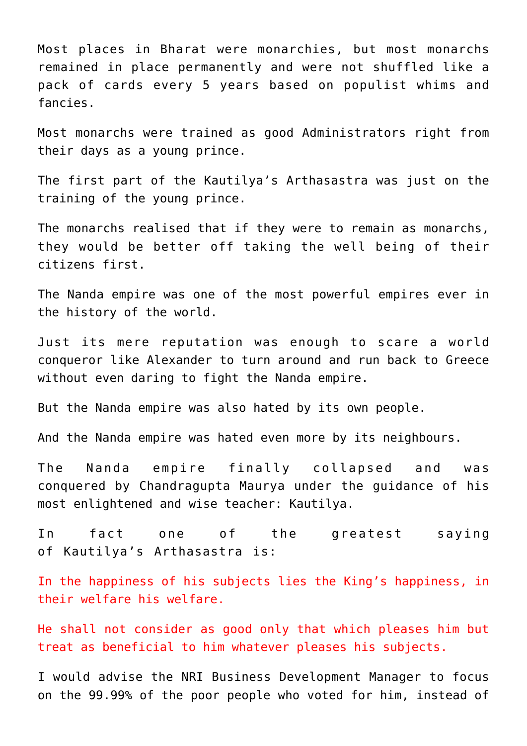Most places in [Bharat](http://aryadharma.world/bharat/) were monarchies, but most monarchs remained in place permanently and were not shuffled like a pack of cards every 5 years based on populist whims and fancies.

Most monarchs were trained as good [Administrators](https://aryadharma.world/concepts/thestate/administrators/) right from their days as a young prince.

The first part of the [Kautilya's](https://aryadharma.world/bharat/kautilya/) [Arthasastra](https://en.wikipedia.org/wiki/Arthashastra) was just on the training of the young prince.

The monarchs realised that if they were to remain as monarchs, they would be better off taking the well being of their citizens first.

The [Nanda empire](https://en.wikipedia.org/wiki/Nanda_Empire) was one of the most powerful empires ever in the history of the world.

Just its mere reputation was enough to [scare a world](https://en.wikipedia.org/wiki/Greek_conquests_in_India#Conquests_of_Alexander_The_Great_.28327.E2.80.93326_BC.29) [conqueror](https://en.wikipedia.org/wiki/Greek_conquests_in_India#Conquests_of_Alexander_The_Great_.28327.E2.80.93326_BC.29) like [Alexander](https://en.wikipedia.org/wiki/Alexander) to turn around and run back to Greece without even daring to fight the Nanda empire.

But the [Nanda empire](https://en.wikipedia.org/wiki/Nanda_Empire) was also hated by its own people.

And the [Nanda empire](https://en.wikipedia.org/wiki/Nanda_Empire) was hated even more by its neighbours.

The [Nanda empire](https://en.wikipedia.org/wiki/Nanda_Empire) finally collapsed and [was](https://en.wikipedia.org/wiki/Conquest_of_the_Nanda_Empire) [conquered](https://en.wikipedia.org/wiki/Conquest_of_the_Nanda_Empire) by [Chandragupta Maurya](https://en.wikipedia.org/wiki/Chandragupta_Maurya) under the guidance of his most enlightened and wise teacher: [Kautilya.](https://aryadharma.world/bharat/kautilya/)

In fact one of the greatest saying of [Kautilya's](https://aryadharma.world/bharat/kautilya/) [Arthasastra](https://en.wikipedia.org/wiki/Arthashastra) is:

In the happiness of his subjects lies the King's happiness, in their welfare his welfare.

He shall not consider as good only that which pleases him but treat as beneficial to him whatever pleases his subjects.

I would advise the [NRI Business Development Manager](https://aryadharma.world/bharat/the-magic-of-the-nri-business-development-manager/) to focus on the 99.99% of the poor people who voted for him, instead of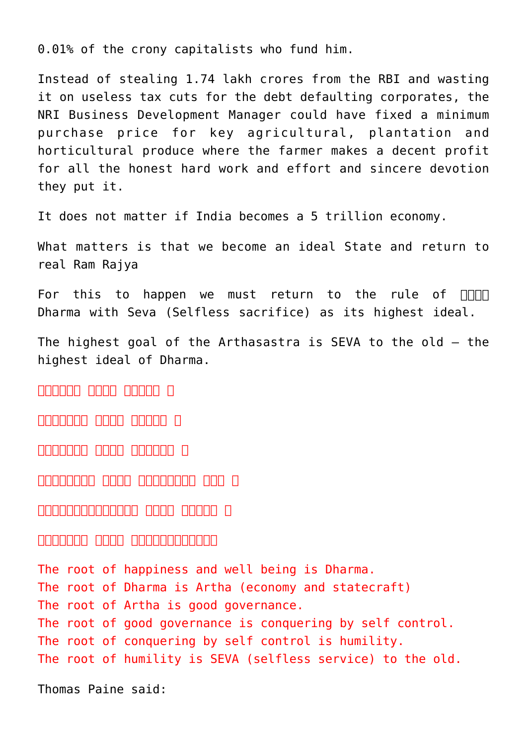0.01% of the crony capitalists who fund him.

Instead of stealing 1.74 lakh crores from the RBI and wasting it on useless tax cuts for the debt defaulting corporates, the [NRI Business Development Manager](https://aryadharma.world/bharat/the-magic-of-the-nri-business-development-manager/) could have fixed a minimum purchase price for key agricultural, plantation and horticultural produce where the farmer makes a decent profit for all the honest hard work and effort and sincere devotion they put it.

It does not matter if India becomes a 5 trillion economy.

What matters is that we become an [ideal State](https://aryadharma.world/concepts/thestate/) and return to real [Ram Rajya](https://aryadharma.world/vedasandupanishads/ram-rajya-the-heavenly-rule-of-ram/)

For this to happen we must return to the rule of  $\Pi\Pi\Pi$ [Dharma](https://aryadharma.world/vedasandupanishads/dharma/) with Seva (Selfless sacrifice) as its highest ideal.

The highest goal of the [Arthasastra](https://en.wikipedia.org/wiki/Arthashastra) is SEVA to the old – the highest ideal of [Dharma](https://aryadharma.world/concepts/brahman/dharma/).

 $\Box$  निर्माणा मुलागि । भागाना

 $\Box \Box \Box \Box \Box \Box \Box$  तानानानानानान $\Box$ 

ताताताताता ताताता ताताताता ।

राज्यसम्बद्धाः सूत्राज्यसम्बद्धाः । इन्द्रः । इन्द्रः । इन्द्रः । इन्द्रः । इन्द्रः । इन्द्रः । इन्द्रः । इन्द

इन्द्िरयाजयस्य मूलं िवनयः ।

## सिवनयस्य मूलं विद्यापसेवाणि मूलं विद्यापस

The root of happiness and well being is [Dharma](https://aryadharma.world/concepts/brahman/dharma/). The root of [Dharma](https://aryadharma.world/concepts/brahman/dharma/) is [Artha](https://en.wikipedia.org/wiki/Artha) (economy and statecraft) The root of [Artha](https://en.wikipedia.org/wiki/Artha) is good governance. The root of good governance is conquering by self control. The root of conquering by self control is humility. The root of humility is SEVA (selfless service) to the old.

[Thomas Paine](https://en.wikipedia.org/wiki/Thomas_Paine) said: